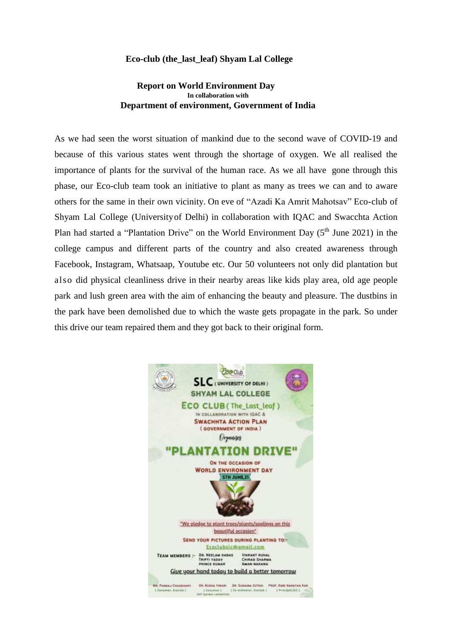## **Eco-club (the\_last\_leaf) Shyam Lal College**

## **Report on World Environment Day In collaboration with Department of environment, Government of India**

As we had seen the worst situation of mankind due to the second wave of COVID-19 and because of this various states went through the shortage of oxygen. We all realised the importance of plants for the survival of the human race. As we all have gone through this phase, our Eco-club team took an initiative to plant as many as trees we can and to aware others for the same in their own vicinity. On eve of "Azadi Ka Amrit Mahotsav" Eco-club of Shyam Lal College (Universityof Delhi) in collaboration with IQAC and Swacchta Action Plan had started a "Plantation Drive" on the World Environment Day  $(5<sup>th</sup>$  June 2021) in the college campus and different parts of the country and also created awareness through Facebook, Instagram, Whatsaap, Youtube etc. Our 50 volunteers not only did plantation but also did physical cleanliness drive in their nearby areas like kids play area, old age people park and lush green area with the aim of enhancing the beauty and pleasure. The dustbins in the park have been demolished due to which the waste gets propagate in the park. So under this drive our team repaired them and they got back to their original form.

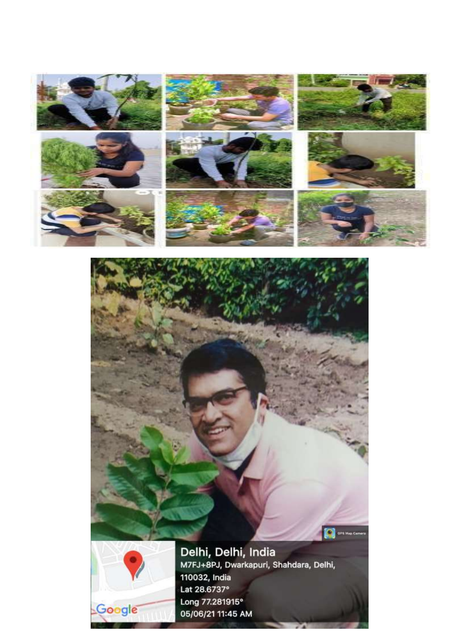

## **C** on the Carter



Delhi, Delhi, India<br>M7FJ+8PJ, Dwarkapuri, Shahdara, Delhi, 110032, India Lat 28.6737° Long 77.281915° 05/06/21 11:45 AM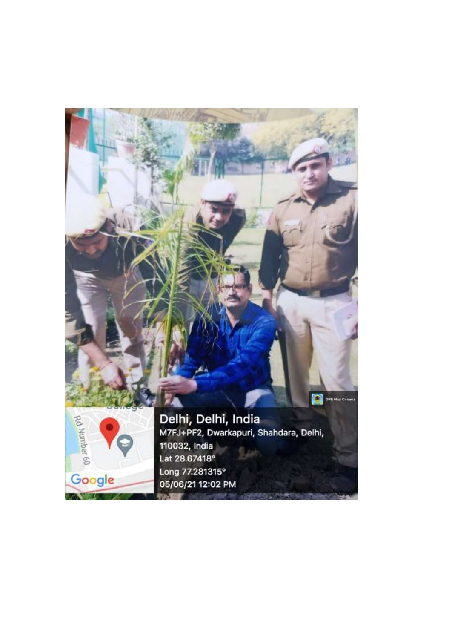